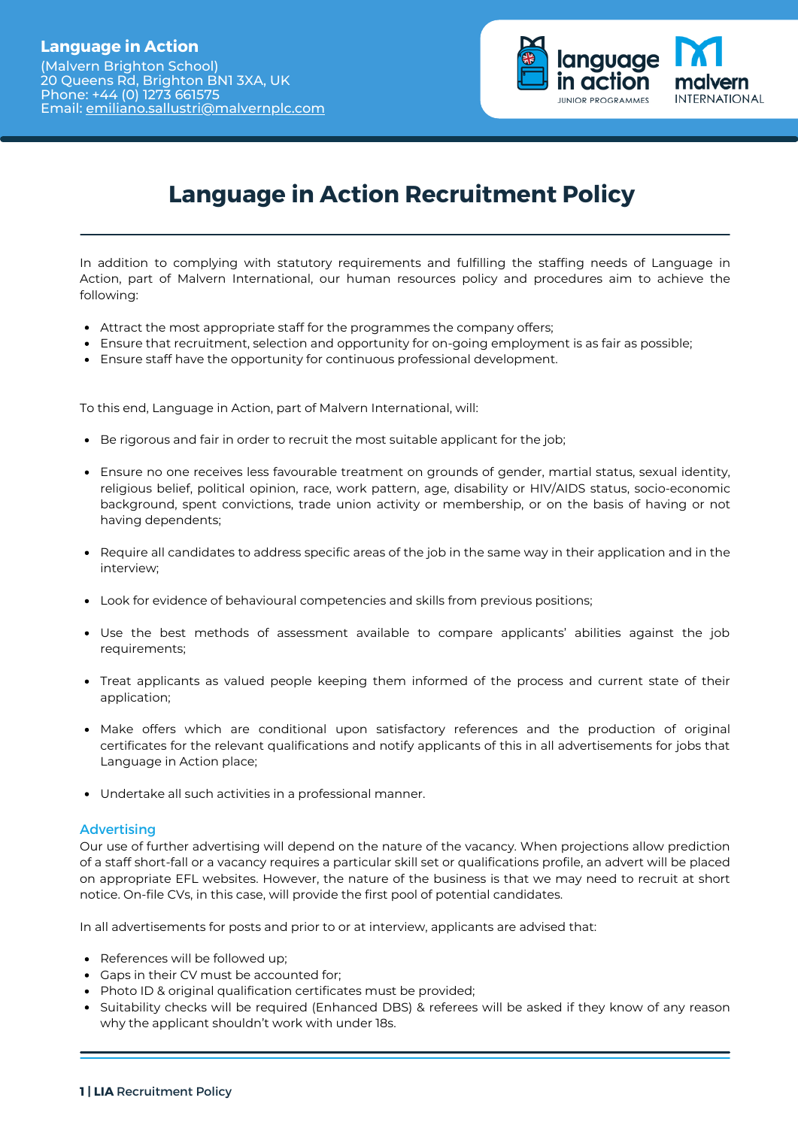

## **Language in Action Recruitment Policy**

In addition to complying with statutory requirements and fulfilling the staffing needs of Language in Action, part of Malvern International, our human resources policy and procedures aim to achieve the following:

- Attract the most appropriate staff for the programmes the company offers;
- Ensure that recruitment, selection and opportunity for on-going employment is as fair as possible;
- Ensure staff have the opportunity for continuous professional development.

To this end, Language in Action, part of Malvern International, will:

- **Be rigorous and fair in order to recruit the most suitable applicant for the job;**
- Ensure no one receives less favourable treatment on grounds of gender, martial status, sexual identity, religious belief, political opinion, race, work pattern, age, disability or HIV/AIDS status, socio-economic background, spent convictions, trade union activity or membership, or on the basis of having or not having dependents;
- Require all candidates to address specific areas of the job in the same way in their application and in the interview;
- Look for evidence of behavioural competencies and skills from previous positions;
- Use the best methods of assessment available to compare applicants' abilities against the job requirements;
- Treat applicants as valued people keeping them informed of the process and current state of their application;
- Make offers which are conditional upon satisfactory references and the production of original certificates for the relevant qualifications and notify applicants of this in all advertisements for jobs that Language in Action place;
- Undertake all such activities in a professional manner.

## Advertising

Our use of further advertising will depend on the nature of the vacancy. When projections allow prediction of a staff short-fall or a vacancy requires a particular skill set or qualifications profile, an advert will be placed on appropriate EFL websites. However, the nature of the business is that we may need to recruit at short notice. On-file CVs, in this case, will provide the first pool of potential candidates.

In all advertisements for posts and prior to or at interview, applicants are advised that:

- References will be followed up;
- Gaps in their CV must be accounted for;
- Photo ID & original qualification certificates must be provided;
- Suitability checks will be required (Enhanced DBS) & referees will be asked if they know of any reason why the applicant shouldn't work with under 18s.